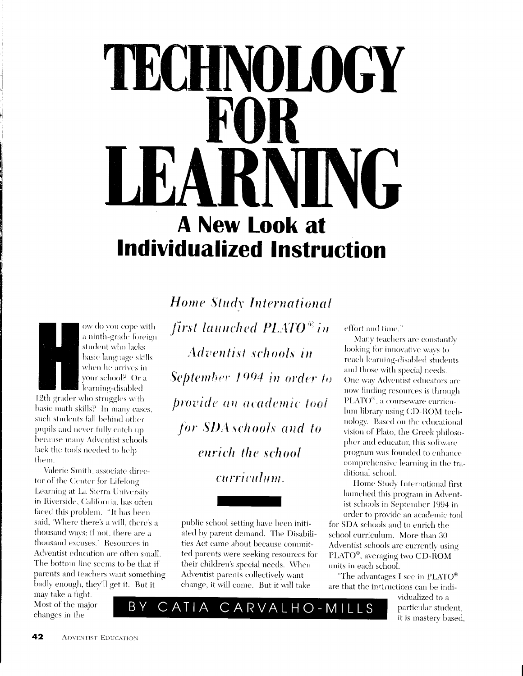## L'HNOLOGEN **A New Look at Individualized Instruction**



ow do you cope with a ninth-grade foreign student who lacks basic language skills when he arrives in your school? Or a learning-disabled

12th grader who struggles with basic math skills? In many cases, such students fall behind other pupils and never fully catch up because many Adventist schools lack the tools needed to help them.

Valerie Smith, associate director of the Center for Lifelong Learning at La Sierra University in Riverside, California, has often faced this problem. "It has been said, 'Where there's a will, there's a thousand ways; if not, there are a thousand excuses.' Resources in Adventist education are often small. The bottom line seems to be that if parents and teachers want something badly enough, they'll get it. But it

'B Y

may take a fight. Most of the major changes in the

**Home Study International** first launched PLATO<sup>®</sup> in **Adventist schools in** September 1994 in order to provide an academic tool for SDA schools and to enrich the school curriculum.

public school setting have been initiated by parent demand. The Disabilities Act came about because committed parents were seeking resources for their children's special needs. When Adventist parents collectively want change, it will come. But it will take

CATIA CARVALHO-MILLS

effort and time."

Many teachers are constantly looking for innovative ways to reach learning-disabled students and those with special needs. One way Adventist educators are now finding resources is through PLATO<sup>®</sup>, a courseware curriculum library using CD-ROM technology. Based on the educational vision of Plato, the Greek philosopher and educator, this software program was founded to enhance comprehensive learning in the traditional school.

Home Study International first launched this program in Adventist schools in September 1994 in order to provide an academic tool

for SDA schools and to enrich the school curriculum. More than 30 Adventist schools are currently using PLATO®, averaging two CD-ROM units in each school.

"The advantages I see in PLATO $^{\circ}$ are that the instructions can be indi-

> vidualized to a particular student, it is mastery based,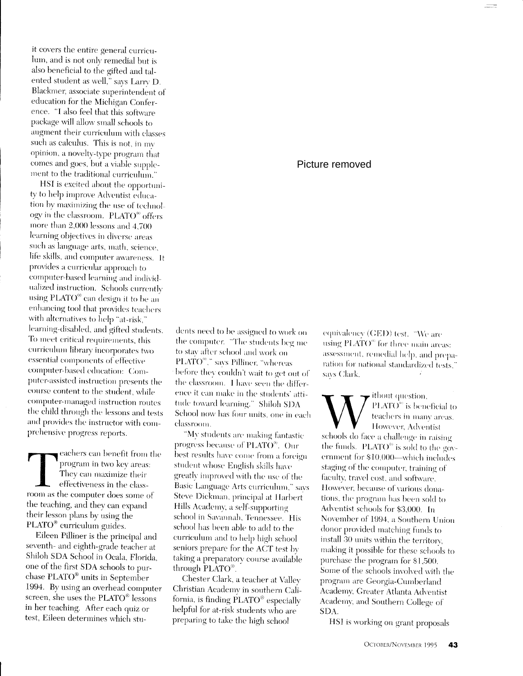it covers the entire general curriculum, and is not only remedial but is also beneficial to the gifted and talented student as well," says Larry D. Blackmer, associate superintendent of education for the Michigan Conference. "I also feel that this software package will allow small schools to augment their curriculum with classes such as calculus. This is not, in mv opinion, a novelty-type program that comes and goes, but a viable supplement to the traditional curriculum."

HSI is excited about the opportunity to help improve Adventist education by maximizing the use of technology in the classroom. PLATO<sup>®</sup> offers more than 2,000 lessons and 4,700 learning objectives in diverse areas such as language arts, math, science, life skills, and computer awareness. It provides a curricular approach to computer-based learning and individualized instruction. Schools currently using PLATO<sup>®</sup> can design it to be an enhancing tool that provides teachers with alternatives to help "at-risk," learning-disabled, and gifted students. To meet critical requirements, this curriculum library incorporates two essential components of effective computer-based education: Computer-assisted instruction presents the course content to the student, while computer-managed instruction routes the child through the lessons and tests and provides the instructor with comprehensive progress reports.

eachers can benefit from the program in two key areas: They can maximize their effectiveness in the classroom as the computer does some of the teaching, and they can expand their lesson plans by using the PLATO® curriculum guides.

Eileen Pilliner is the principal and seventh- and eighth-grade teacher at Shiloh SDA School in Ocala, Florida, one of the first SDA schools to purchase PLATO<sup>®</sup> units in September 1994. By using an overhead computer screen, she uses the PLATO® lessons in her teaching. After each quiz or test, Eileen determines which stu-

## dents need to be assigned to work on the computer. "The students beg me to stav after school and work on PLATO<sup>®</sup>," savs Pilliner, "whereas before they couldn't wait to get out of the classroom. I have seen the difference it can make in the students' attitude toward learning." Shiloh SDA School now has four units, one in each classroom.

"My students are making fantastic progress because of PLATO®. Our best results have come from a foreign student whose English skills have greatly improved with the use of the Basic Language Arts curriculum," savs Steve Dickman, principal at Harbert Hills Academy, a self-supporting school in Savannah, Tennessee. His school has been able to add to the curriculum and to help high school seniors prepare for the ACT test by taking a preparatory course available through PLATO<sup>®</sup>.

Chester Clark, a teacher at Valley Christian Academy in southern California, is finding PLATO® especially helpful for at-risk students who are preparing to take the high school

## Picture removed

equivalency (GED) test. "We are using PLATO<sup>®</sup> for three main areas: assessment, remedial help, and preparation for national standardized tests," savs Clark.

 $\overline{\phantom{a}}$  ithout question, PLATO<sup>60</sup> is beneficial to teachers in many areas. However, Adventist schools do face a challenge in raising the funds. PLATO<sup>®</sup> is sold to the government for \$10,000—which includes staging of the computer, training of faculty, travel cost, and software. However, because of various donations, the program has been sold to Adventist schools for \$3,000. In November of 1994, a Southern Union donor provided matching funds to install 30 units within the territory, making it possible for these schools to purchase the program for \$1,500. Some of the schools involved with the program are Georgia-Cumberland Academy, Greater Atlanta Adventist Academy, and Southern College of SDA.

HSI is working on grant proposals